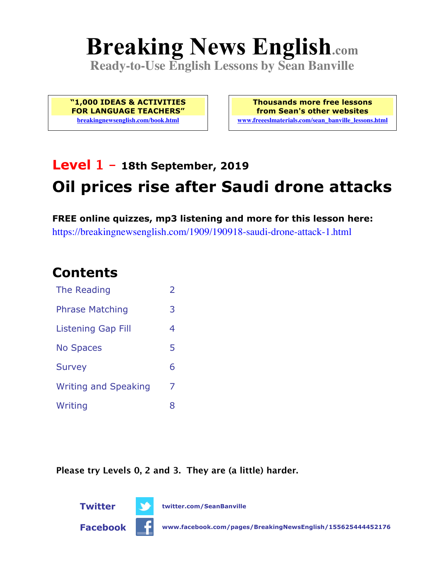# **Breaking News English.com**

**Ready-to-Use English Lessons by Sean Banville**

**"1,000 IDEAS & ACTIVITIES FOR LANGUAGE TEACHERS" breakingnewsenglish.com/book.html**

**Thousands more free lessons from Sean's other websites www.freeeslmaterials.com/sean\_banville\_lessons.html**

## **Level 1 - 18th September, 2019 Oil prices rise after Saudi drone attacks**

**FREE online quizzes, mp3 listening and more for this lesson here:** https://breakingnewsenglish.com/1909/190918-saudi-drone-attack-1.html

#### **Contents**

| The Reading                 | $\overline{\phantom{a}}$ |
|-----------------------------|--------------------------|
| <b>Phrase Matching</b>      | 3                        |
| Listening Gap Fill          | 4                        |
| <b>No Spaces</b>            | 5                        |
| <b>Survey</b>               | 6                        |
| <b>Writing and Speaking</b> | 7                        |
| Writing                     | x                        |

**Please try Levels 0, 2 and 3. They are (a little) harder.**



**Twitter twitter.com/SeanBanville**

**Facebook www.facebook.com/pages/BreakingNewsEnglish/155625444452176**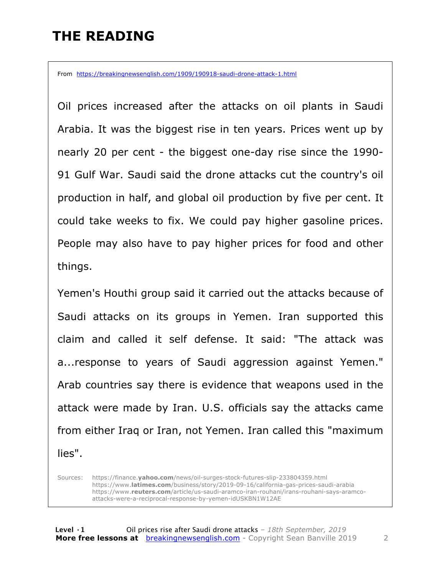#### **THE READING**

From https://breakingnewsenglish.com/1909/190918-saudi-drone-attack-1.html

Oil prices increased after the attacks on oil plants in Saudi Arabia. It was the biggest rise in ten years. Prices went up by nearly 20 per cent - the biggest one-day rise since the 1990- 91 Gulf War. Saudi said the drone attacks cut the country's oil production in half, and global oil production by five per cent. It could take weeks to fix. We could pay higher gasoline prices. People may also have to pay higher prices for food and other things.

Yemen's Houthi group said it carried out the attacks because of Saudi attacks on its groups in Yemen. Iran supported this claim and called it self defense. It said: "The attack was a...response to years of Saudi aggression against Yemen." Arab countries say there is evidence that weapons used in the attack were made by Iran. U.S. officials say the attacks came from either Iraq or Iran, not Yemen. Iran called this "maximum lies".

Sources: https://finance.**yahoo.com**/news/oil-surges-stock-futures-slip-233804359.html https://www.**latimes.com**/business/story/2019-09-16/california-gas-prices-saudi-arabia https://www.**reuters.com**/article/us-saudi-aramco-iran-rouhani/irans-rouhani-says-aramcoattacks-were-a-reciprocal-response-by-yemen-idUSKBN1W12AE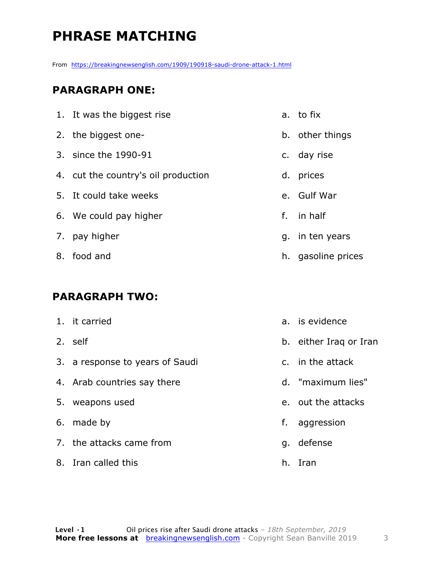## **PHRASE MATCHING**

From https://breakingnewsenglish.com/1909/190918-saudi-drone-attack-1.html

#### **PARAGRAPH ONE:**

| 1. It was the biggest rise          |    | a. to fix          |
|-------------------------------------|----|--------------------|
| 2. the biggest one-                 |    | b. other things    |
| 3. since the 1990-91                |    | c. day rise        |
| 4. cut the country's oil production | d. | prices             |
| 5. It could take weeks              |    | e. Gulf War        |
| 6. We could pay higher              | f. | in half            |
| 7. pay higher                       |    | g. in ten years    |
| 8. food and                         |    | h. gasoline prices |

#### **PARAGRAPH TWO:**

|    | 1. it carried                   |    | a. is evidence         |
|----|---------------------------------|----|------------------------|
|    | 2. self                         |    | b. either Iraq or Iran |
|    | 3. a response to years of Saudi |    | c. in the attack       |
|    | 4. Arab countries say there     |    | d. "maximum lies"      |
| 5. | weapons used                    |    | e. out the attacks     |
|    | 6. made by                      | f. | aggression             |
|    | 7. the attacks came from        | q. | defense                |

8. Iran called this

h. Iran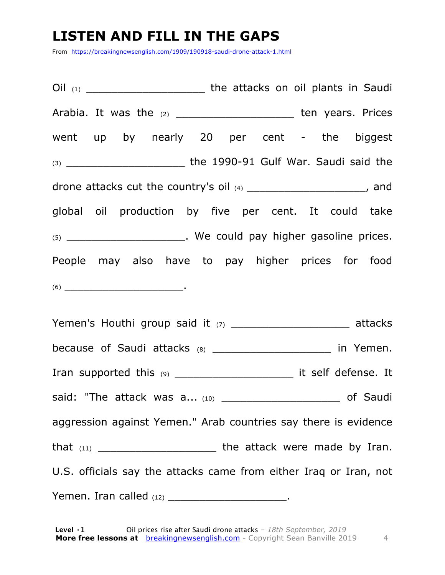#### **LISTEN AND FILL IN THE GAPS**

From https://breakingnewsenglish.com/1909/190918-saudi-drone-attack-1.html

Oil (1) **Oil (1) Ciled the attacks on oil plants in Saudi** Arabia. It was the (2) \_\_\_\_\_\_\_\_\_\_\_\_\_\_\_\_\_\_\_\_\_\_ ten years. Prices went up by nearly 20 per cent - the biggest (3) \_\_\_\_\_\_\_\_\_\_\_\_\_\_\_\_\_\_\_ the 1990-91 Gulf War. Saudi said the drone attacks cut the country's oil (4) drone attacks cut the country's oil (4) global oil production by five per cent. It could take (5) \_\_\_\_\_\_\_\_\_\_\_\_\_\_\_\_\_\_\_\_\_\_. We could pay higher gasoline prices. People may also have to pay higher prices for food  $(6)$ 

Yemen's Houthi group said it (7) The matrix of the attacks because of Saudi attacks  $(8)$  \_\_\_\_\_\_\_\_\_\_\_\_\_\_\_\_\_\_\_\_\_\_\_ in Yemen. Iran supported this (9) \_\_\_\_\_\_\_\_\_\_\_\_\_\_\_\_\_\_\_ it self defense. It said: "The attack was a... (10) The said: "The attack was a... (10) aggression against Yemen." Arab countries say there is evidence that  $(11)$  the attack were made by Iran. U.S. officials say the attacks came from either Iraq or Iran, not Yemen. Iran called  $(12)$  \_\_\_\_\_\_\_\_\_\_\_\_\_\_\_\_\_\_\_\_\_\_.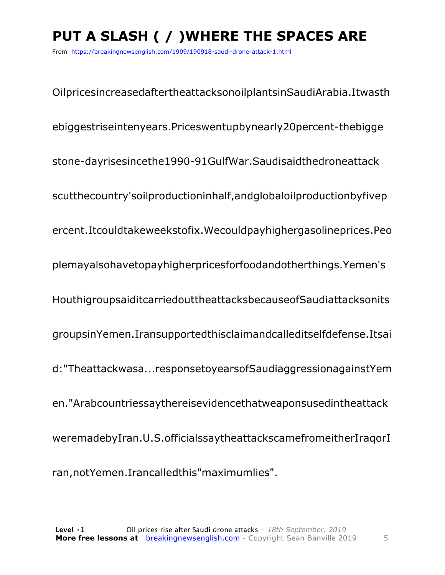## **PUT A SLASH ( / )WHERE THE SPACES ARE**

From https://breakingnewsenglish.com/1909/190918-saudi-drone-attack-1.html

OilpricesincreasedaftertheattacksonoilplantsinSaudiArabia.Itwasth ebiggestriseintenyears.Priceswentupbynearly20percent-thebigge stone-dayrisesincethe1990-91GulfWar.Saudisaidthedroneattack scutthecountry'soilproductioninhalf,andglobaloilproductionbyfivep ercent.Itcouldtakeweekstofix.Wecouldpayhighergasolineprices.Peo plemayalsohavetopayhigherpricesforfoodandotherthings.Yemen's HouthigroupsaiditcarriedouttheattacksbecauseofSaudiattacksonits groupsinYemen.Iransupportedthisclaimandcalleditselfdefense.Itsai d:"Theattackwasa...responsetoyearsofSaudiaggressionagainstYem en."Arabcountriessaythereisevidencethatweaponsusedintheattack weremadebyIran.U.S.officialssaytheattackscamefromeitherIraqorI ran,notYemen.Irancalledthis"maximumlies".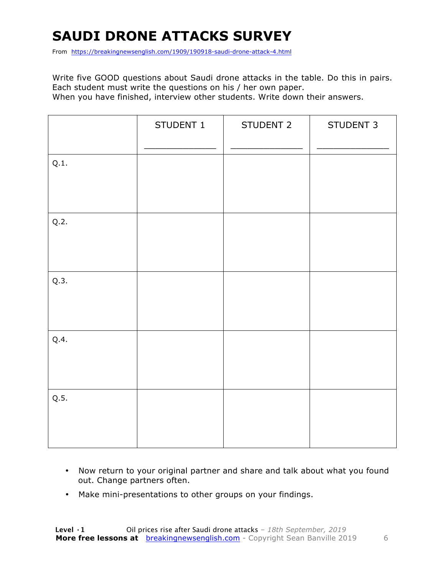### **SAUDI DRONE ATTACKS SURVEY**

From https://breakingnewsenglish.com/1909/190918-saudi-drone-attack-4.html

Write five GOOD questions about Saudi drone attacks in the table. Do this in pairs. Each student must write the questions on his / her own paper. When you have finished, interview other students. Write down their answers.

|      | STUDENT 1 | STUDENT 2 | STUDENT 3 |
|------|-----------|-----------|-----------|
| Q.1. |           |           |           |
| Q.2. |           |           |           |
| Q.3. |           |           |           |
| Q.4. |           |           |           |
| Q.5. |           |           |           |

- Now return to your original partner and share and talk about what you found out. Change partners often.
- Make mini-presentations to other groups on your findings.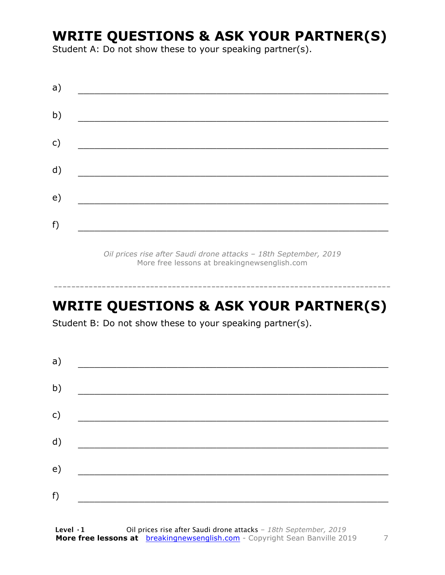#### **WRITE QUESTIONS & ASK YOUR PARTNER(S)**

Student A: Do not show these to your speaking partner(s).

| a) |  |  |
|----|--|--|
| b) |  |  |
| c) |  |  |
| d) |  |  |
| e) |  |  |
| f) |  |  |
|    |  |  |

*Oil prices rise after Saudi drone attacks – 18th September, 2019* More free lessons at breakingnewsenglish.com

#### **WRITE QUESTIONS & ASK YOUR PARTNER(S)**

-----------------------------------------------------------------------------

Student B: Do not show these to your speaking partner(s).

| a) |  |  |
|----|--|--|
| b) |  |  |
| c) |  |  |
| d) |  |  |
| e) |  |  |
| f) |  |  |
|    |  |  |